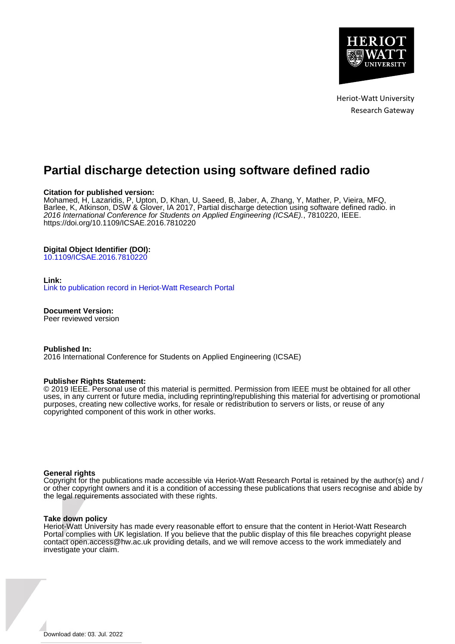

# **Partial discharge detection using software defined radio**

#### **Citation for published version:**

Mohamed, H, Lazaridis, P, Upton, D, Khan, U, Saeed, B, Jaber, A, Zhang, Y, Mather, P, Vieira, MFQ, Barlee, K, Atkinson, DSW & Glover, IA 2017, Partial discharge detection using software defined radio. in 2016 International Conference for Students on Applied Engineering (ICSAE)., 7810220, IEEE. <https://doi.org/10.1109/ICSAE.2016.7810220>

## **Digital Object Identifier (DOI):**

[10.1109/ICSAE.2016.7810220](https://doi.org/10.1109/ICSAE.2016.7810220)

#### **Link:**

[Link to publication record in Heriot-Watt Research Portal](https://researchportal.hw.ac.uk/en/publications/f09d7421-45de-4c40-8d26-6235b4383a16)

**Document Version:** Peer reviewed version

**Published In:**

2016 International Conference for Students on Applied Engineering (ICSAE)

#### **Publisher Rights Statement:**

© 2019 IEEE. Personal use of this material is permitted. Permission from IEEE must be obtained for all other uses, in any current or future media, including reprinting/republishing this material for advertising or promotional purposes, creating new collective works, for resale or redistribution to servers or lists, or reuse of any copyrighted component of this work in other works.

#### **General rights**

Copyright for the publications made accessible via Heriot-Watt Research Portal is retained by the author(s) and / or other copyright owners and it is a condition of accessing these publications that users recognise and abide by the legal requirements associated with these rights.

#### **Take down policy**

Heriot-Watt University has made every reasonable effort to ensure that the content in Heriot-Watt Research Portal complies with UK legislation. If you believe that the public display of this file breaches copyright please contact open.access@hw.ac.uk providing details, and we will remove access to the work immediately and investigate your claim.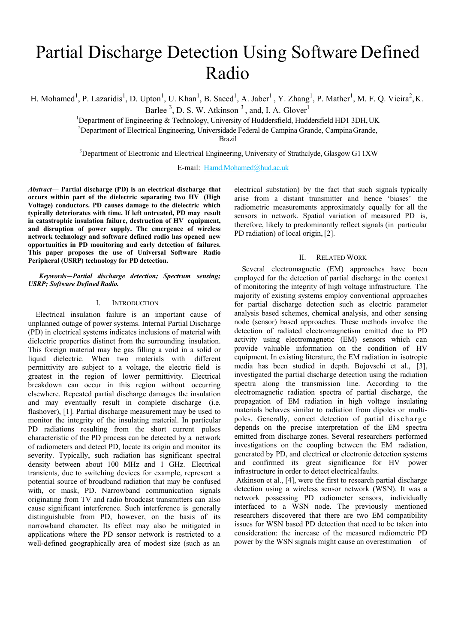# Partial Discharge Detection Using Software Defined Radio

H. Mohamed<sup>1</sup>, P. Lazaridis<sup>1</sup>, D. Upton<sup>1</sup>, U. Khan<sup>1</sup>, B. Saeed<sup>1</sup>, A. Jaber<sup>1</sup>, Y. Zhang<sup>1</sup>, P. Mather<sup>1</sup>, M. F. Q. Vieira<sup>2</sup>, K.

Barlee  $3$ , D. S. W. Atkinson  $3$ , and, I. A. Glover<sup>1</sup>

<sup>1</sup>Department of Engineering & Technology, University of Huddersfield, Huddersfield HD1 3DH, UK

<sup>2</sup>Department of Electrical Engineering, Universidade Federal de Campina Grande, Campina Grande,

Brazil

<sup>3</sup>Department of Electronic and Electrical Engineering, University of Strathclyde, Glasgow G11XW

E-mail: Hamd.Mohamed@hud.ac.uk

*Abstract***— Partial discharge (PD) is an electrical discharge that occurs within part of the dielectric separating two HV (High Voltage) conductors. PD causes damage to the dielectric which typically deteriorates with time. If left untreated, PD may result in catastrophic insulation failure, destruction of HV equipment, and disruption of power supply. The emergence of wireless network technology and software defined radio has opened new opportunities in PD monitoring and early detection of failures. This paper proposes the use of Universal Software Radio Peripheral (USRP) technology for PD detection.**

*Keywords***—***Partial discharge detection; Spectrum sensing; USRP; Software Defined Radio.*

#### I. INTRODUCTION

Electrical insulation failure is an important cause of unplanned outage of power systems. Internal Partial Discharge (PD) in electrical systems indicates inclusions of material with dielectric properties distinct from the surrounding insulation. This foreign material may be gas filling a void in a solid or liquid dielectric. When two materials with different permittivity are subject to a voltage, the electric field is greatest in the region of lower permittivity. Electrical breakdown can occur in this region without occurring elsewhere. Repeated partial discharge damages the insulation and may eventually result in complete discharge (i.e. flashover), [1]. Partial discharge measurement may be used to monitor the integrity of the insulating material. In particular PD radiations resulting from the short current pulses characteristic of the PD process can be detected by a network of radiometers and detect PD, locate its origin and monitor its severity. Typically, such radiation has significant spectral density between about 100 MHz and 1 GHz. Electrical transients, due to switching devices for example, represent a potential source of broadband radiation that may be confused with, or mask, PD. Narrowband communication signals originating from TV and radio broadcast transmitters can also cause significant interference. Such interference is generally distinguishable from PD, however, on the basis of its narrowband character. Its effect may also be mitigated in applications where the PD sensor network is restricted to a well-defined geographically area of modest size (such as an

electrical substation) by the fact that such signals typically arise from a distant transmitter and hence 'biases' the radiometric measurements approximately equally for all the sensors in network. Spatial variation of measured PD is, therefore, likely to predominantly reflect signals (in particular PD radiation) of local origin, [2].

#### II. RELATED WORK

Several electromagnetic (EM) approaches have been employed for the detection of partial discharge in the context of monitoring the integrity of high voltage infrastructure. The majority of existing systems employ conventional approaches for partial discharge detection such as electric parameter analysis based schemes, chemical analysis, and other sensing node (sensor) based approaches. These methods involve the detection of radiated electromagnetism emitted due to PD activity using electromagnetic (EM) sensors which can provide valuable information on the condition of HV equipment. In existing literature, the EM radiation in isotropic media has been studied in depth. Bojovschi et al., [3], investigated the partial discharge detection using the radiation spectra along the transmission line. According to the electromagnetic radiation spectra of partial discharge, the propagation of EM radiation in high voltage insulating materials behaves similar to radiation from dipoles or multipoles. Generally, correct detection of partial discharge depends on the precise interpretation of the EM spectra emitted from discharge zones. Several researchers performed investigations on the coupling between the EM radiation, generated by PD, and electrical or electronic detection systems and confirmed its great significance for HV power infrastructure in order to detect electrical faults.

Atkinson et al., [4], were the first to research partial discharge detection using a wireless sensor network (WSN). It was a network possessing PD radiometer sensors, individually interfaced to a WSN node. The previously mentioned researchers discovered that there are two EM compatibility issues for WSN based PD detection that need to be taken into consideration: the increase of the measured radiometric PD power by the WSN signals might cause an overestimation of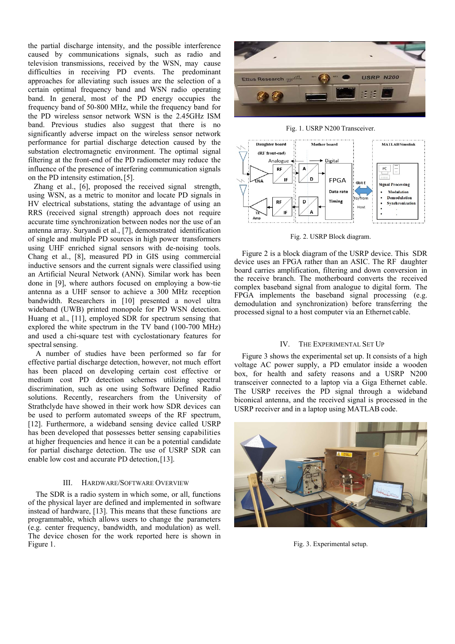the partial discharge intensity, and the possible interference caused by communications signals, such as radio and television transmissions, received by the WSN, may cause difficulties in receiving PD events. The predominant approaches for alleviating such issues are the selection of a certain optimal frequency band and WSN radio operating band. In general, most of the PD energy occupies the frequency band of 50-800 MHz, while the frequency band for the PD wireless sensor network WSN is the 2.45GHz ISM band. Previous studies also suggest that there is no significantly adverse impact on the wireless sensor network performance for partial discharge detection caused by the substation electromagnetic environment. The optimal signal filtering at the front-end of the PD radiometer may reduce the influence of the presence of interfering communication signals on the PD intensity estimation, [5].

Zhang et al., [6], proposed the received signal strength, using WSN, as a metric to monitor and locate PD signals in HV electrical substations, stating the advantage of using an RRS (received signal strength) approach does not require accurate time synchronization between nodes nor the use of an antenna array. Suryandi et al., [7], demonstrated identification of single and multiple PD sources in high power transformers using UHF enriched signal sensors with de-noising tools. Chang et al., [8], measured PD in GIS using commercial inductive sensors and the current signals were classified using an Artificial Neural Network (ANN). Similar work has been done in [9], where authors focused on employing a bow-tie antenna as a UHF sensor to achieve a 300 MHz reception bandwidth. Researchers in [10] presented a novel ultra wideband (UWB) printed monopole for PD WSN detection. Huang et al., [11], employed SDR for spectrum sensing that explored the white spectrum in the TV band (100-700 MHz) and used a chi-square test with cyclostationary features for spectral sensing.

A number of studies have been performed so far for effective partial discharge detection, however, not much effort has been placed on developing certain cost effective or medium cost PD detection schemes utilizing spectral discrimination, such as one using Software Defined Radio solutions. Recently, researchers from the University of Strathclyde have showed in their work how SDR devices can be used to perform automated sweeps of the RF spectrum, [12]. Furthermore, a wideband sensing device called USRP has been developed that possesses better sensing capabilities at higher frequencies and hence it can be a potential candidate for partial discharge detection. The use of USRP SDR can enable low cost and accurate PD detection, [13].

#### III. HARDWARE/SOFTWARE OVERVIEW

The SDR is a radio system in which some, or all, functions of the physical layer are defined and implemented in software instead of hardware, [13]. This means that these functions are programmable, which allows users to change the parameters (e.g. center frequency, bandwidth, and modulation) as well. The device chosen for the work reported here is shown in Figure 1.



Fig. 1. USRP N200 Transceiver.



Fig. 2. USRP Block diagram.

Figure 2 is a block diagram of the USRP device. This SDR device uses an FPGA rather than an ASIC. The RF daughter board carries amplification, filtering and down conversion in the receive branch. The motherboard converts the received complex baseband signal from analogue to digital form. The FPGA implements the baseband signal processing (e.g. demodulation and synchronization) before transferring the processed signal to a host computer via an Ethernet cable.

#### IV. THE EXPERIMENTAL SET UP

Figure 3 shows the experimental set up. It consists of a high voltage AC power supply, a PD emulator inside a wooden box, for health and safety reasons and a USRP N200 transceiver connected to a laptop via a Giga Ethernet cable. The USRP receives the PD signal through a wideband biconical antenna, and the received signal is processed in the USRP receiver and in a laptop using MATLAB code.



Fig. 3. Experimental setup.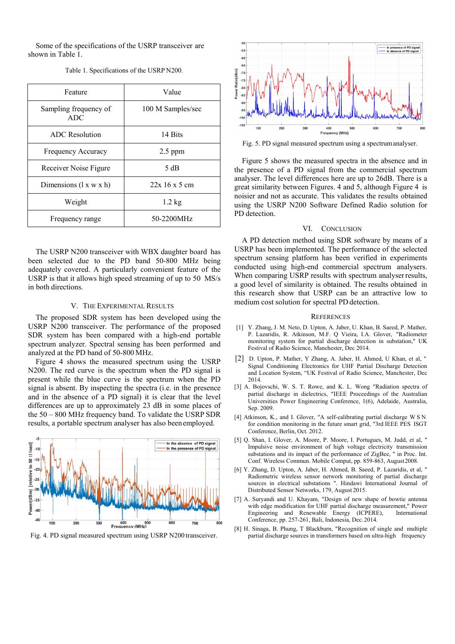Some of the specifications of the USRP transceiver are shown in Table 1.

| Feature                      | Value             |
|------------------------------|-------------------|
| Sampling frequency of<br>ADC | 100 M Samples/sec |
| ADC Resolution               | 14 Bits           |
| Frequency Accuracy           | $2.5$ ppm         |
| Receiver Noise Figure        | 5 dB              |
| Dimensions $(l x w x h)$     | 22x 16 x 5 cm     |
| Weight                       | $1.2 \text{ kg}$  |
| Frequency range              | 50-2200MHz        |

Table 1. Specifications of the USRP N200.

The USRP N200 transceiver with WBX daughter board has been selected due to the PD band 50-800 MHz being adequately covered. A particularly convenient feature of the USRP is that it allows high speed streaming of up to 50 MS/s in both directions.

### V. THE EXPERIMENTAL RESULTS

The proposed SDR system has been developed using the USRP N200 transceiver. The performance of the proposed SDR system has been compared with a high-end portable spectrum analyzer. Spectral sensing has been performed and analyzed at the PD band of 50-800 MHz.

Figure 4 shows the measured spectrum using the USRP N200. The red curve is the spectrum when the PD signal is present while the blue curve is the spectrum when the PD signal is absent. By inspecting the spectra (i.e. in the presence and in the absence of a PD signal) it is clear that the level differences are up to approximately 23 dB in some places of the 50 – 800 MHz frequency band. To validate the USRP SDR results, a portable spectrum analyser has also been employed.



Fig. 4. PD signal measured spectrum using USRP N200 transceiver.



Fig. 5. PD signal measured spectrum using a spectrum analyser.

Figure 5 shows the measured spectra in the absence and in the presence of a PD signal from the commercial spectrum analyser. The level differences here are up to 26dB. There is a great similarity between Figures. 4 and 5, although Figure 4 is noisier and not as accurate. This validates the results obtained using the USRP N200 Software Defined Radio solution for PD detection.

#### VI. CONCLUSION

A PD detection method using SDR software by means of a USRP has been implemented. The performance of the selected spectrum sensing platform has been verified in experiments conducted using high-end commercial spectrum analysers. When comparing USRP results with spectrum analyser results, a good level of similarity is obtained. The results obtained in this research show that USRP can be an attractive low to medium cost solution for spectral PD detection.

#### **REFERENCES**

- [1] Y. Zhang, J. M. Neto, D. Upton, A. Jaber, U. Khan, B. Saeed, P. Mather, P. Lazaridis, R. Atkinson, M.F. Q Vieira, I.A. Glover, "Radiometer monitoring system for partial discharge detection in substation," UK Festival of Radio Science, Manchester, Dec 2014.
- [2] D. Upton, P. Mather, Y Zhang, A. Jaber, H. Ahmed, U Khan, et al, " Signal Conditioning Electronics for UHF Partial Discharge Detection and Location System, "UK Festival of Radio Science, Manchester, Dec 2014.
- [3] A. Bojovschi, W. S. T. Rowe, and K. L. Wong "Radiation spectra of partial discharge in dielectrics, "IEEE Proceedings of the Australian Universities Power Engineering Conference, 1(6), Adelaide, Australia, Sep. 2009.
- [4] Atkinson, K., and I. Glover, "A self-calibrating partial discharge W S N for condition monitoring in the future smart grid, "3rd IEEE PES ISGT Conference, Berlin, Oct. 2012.
- [5] Q. Shan, I. Glover, A. Moore, P. Moore, I. Portugues, M. Judd, et al, " Impulsive noise environment of high voltage electricity transmission substations and its impact of the performance of ZigBee, " in Proc. Int. Conf. Wireless Commun. Mobile Comput, pp. 859-863, August 2008.
- [6] Y. Zhang, D. Upton, A. Jaber, H. Ahmed, B. Saeed, P. Lazaridis, et al, " Radiometric wireless sensor network monitoring of partial discharge sources in electrical substations ". Hindawi International Journal of Distributed Sensor Networks, 179, August 2015.
- [7] A. Suryandi and U. Khayam, "Design of new shape of bowtie antenna with edge modification for UHF partial discharge measurement," Power<br>Engineering and Renewable Energy (ICPERE) International Engineering and Renewable Energy (ICPERE), Conference, pp. 257-261, Bali, Indonesia, Dec. 2014.
- [8] H. Sinaga, B. Phung, T Blackburn, "Recognition of single and multiple partial discharge sources in transformers based on ultra-high frequency